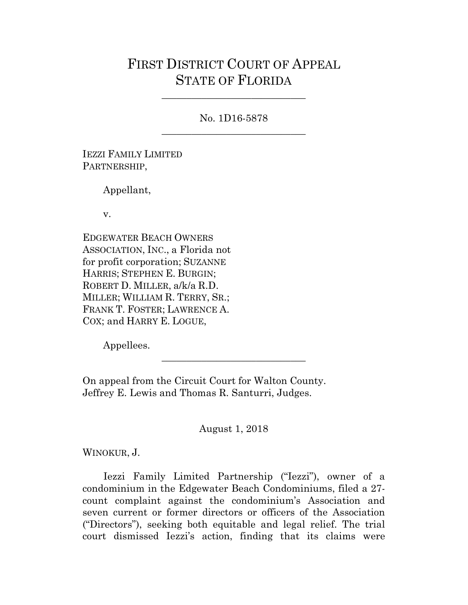# FIRST DISTRICT COURT OF APPEAL STATE OF FLORIDA

No. 1D16-5878 \_\_\_\_\_\_\_\_\_\_\_\_\_\_\_\_\_\_\_\_\_\_\_\_\_\_\_\_\_

\_\_\_\_\_\_\_\_\_\_\_\_\_\_\_\_\_\_\_\_\_\_\_\_\_\_\_\_\_

IEZZI FAMILY LIMITED PARTNERSHIP,

Appellant,

v.

EDGEWATER BEACH OWNERS ASSOCIATION, INC., a Florida not for profit corporation; SUZANNE HARRIS; STEPHEN E. BURGIN; ROBERT D. MILLER, a/k/a R.D. MILLER; WILLIAM R. TERRY, SR.; FRANK T. FOSTER; LAWRENCE A. COX; and HARRY E. LOGUE,

Appellees.

On appeal from the Circuit Court for Walton County. Jeffrey E. Lewis and Thomas R. Santurri, Judges.

August 1, 2018

\_\_\_\_\_\_\_\_\_\_\_\_\_\_\_\_\_\_\_\_\_\_\_\_\_\_\_\_\_

WINOKUR, J.

Iezzi Family Limited Partnership ("Iezzi"), owner of a condominium in the Edgewater Beach Condominiums, filed a 27 count complaint against the condominium's Association and seven current or former directors or officers of the Association ("Directors"), seeking both equitable and legal relief. The trial court dismissed Iezzi's action, finding that its claims were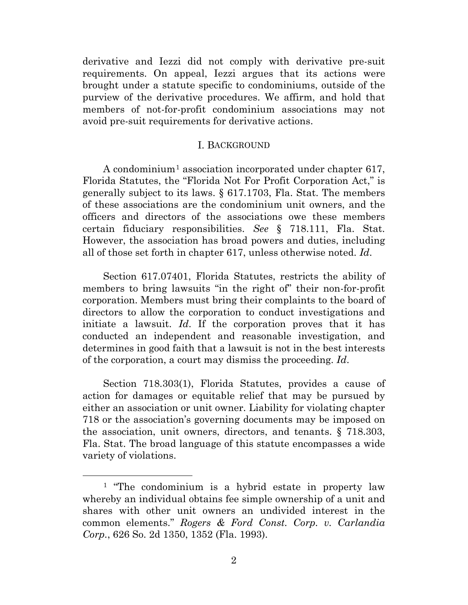derivative and Iezzi did not comply with derivative pre-suit requirements. On appeal, Iezzi argues that its actions were brought under a statute specific to condominiums, outside of the purview of the derivative procedures. We affirm, and hold that members of not-for-profit condominium associations may not avoid pre-suit requirements for derivative actions.

## I. BACKGROUND

A condominium<sup>[1](#page-1-0)</sup> association incorporated under chapter 617, Florida Statutes, the "Florida Not For Profit Corporation Act," is generally subject to its laws. § 617.1703, Fla. Stat. The members of these associations are the condominium unit owners, and the officers and directors of the associations owe these members certain fiduciary responsibilities. *See* § 718.111, Fla. Stat. However, the association has broad powers and duties, including all of those set forth in chapter 617, unless otherwise noted. *Id*.

Section 617.07401, Florida Statutes, restricts the ability of members to bring lawsuits "in the right of" their non-for-profit corporation. Members must bring their complaints to the board of directors to allow the corporation to conduct investigations and initiate a lawsuit. *Id*. If the corporation proves that it has conducted an independent and reasonable investigation, and determines in good faith that a lawsuit is not in the best interests of the corporation, a court may dismiss the proceeding. *Id*.

Section 718.303(1), Florida Statutes, provides a cause of action for damages or equitable relief that may be pursued by either an association or unit owner. Liability for violating chapter 718 or the association's governing documents may be imposed on the association, unit owners, directors, and tenants. § 718.303, Fla. Stat. The broad language of this statute encompasses a wide variety of violations.

<span id="page-1-0"></span><sup>&</sup>lt;sup>1</sup> "The condominium is a hybrid estate in property law whereby an individual obtains fee simple ownership of a unit and shares with other unit owners an undivided interest in the common elements." *Rogers & Ford Const. Corp. v. Carlandia Corp.*, 626 So. 2d 1350, 1352 (Fla. 1993).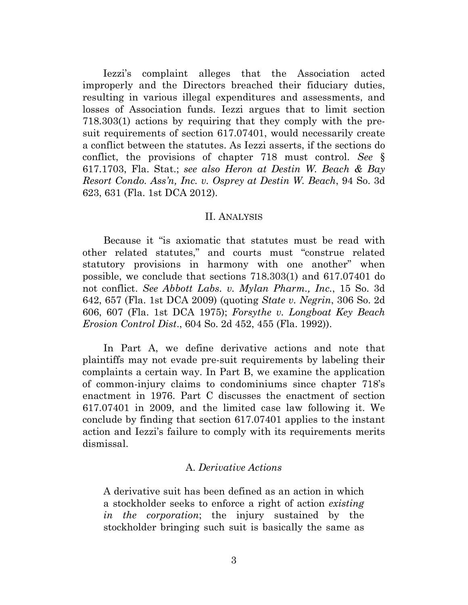Iezzi's complaint alleges that the Association acted improperly and the Directors breached their fiduciary duties, resulting in various illegal expenditures and assessments, and losses of Association funds. Iezzi argues that to limit section 718.303(1) actions by requiring that they comply with the presuit requirements of section 617.07401, would necessarily create a conflict between the statutes. As Iezzi asserts, if the sections do conflict, the provisions of chapter 718 must control. *See* § 617.1703, Fla. Stat.; *see also Heron at Destin W. Beach & Bay Resort Condo. Ass'n, Inc. v. Osprey at Destin W. Beach*, 94 So. 3d 623, 631 (Fla. 1st DCA 2012).

#### II. ANALYSIS

Because it "is axiomatic that statutes must be read with other related statutes," and courts must "construe related statutory provisions in harmony with one another" when possible, we conclude that sections 718.303(1) and 617.07401 do not conflict. *See Abbott Labs. v. Mylan Pharm., Inc.*, 15 So. 3d 642, 657 (Fla. 1st DCA 2009) (quoting *State v. Negrin*, 306 So. 2d 606, 607 (Fla. 1st DCA 1975); *Forsythe v. Longboat Key Beach Erosion Control Dist*., 604 So. 2d 452, 455 (Fla. 1992)).

In Part A, we define derivative actions and note that plaintiffs may not evade pre-suit requirements by labeling their complaints a certain way. In Part B, we examine the application of common-injury claims to condominiums since chapter 718's enactment in 1976. Part C discusses the enactment of section 617.07401 in 2009, and the limited case law following it. We conclude by finding that section 617.07401 applies to the instant action and Iezzi's failure to comply with its requirements merits dismissal.

# A. *Derivative Actions*

A derivative suit has been defined as an action in which a stockholder seeks to enforce a right of action *existing in the corporation*; the injury sustained by the stockholder bringing such suit is basically the same as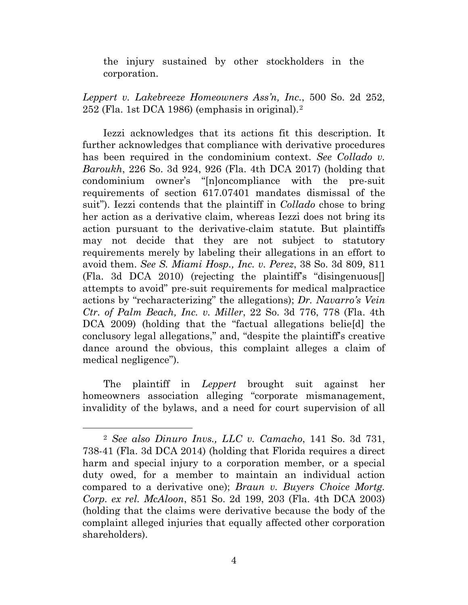the injury sustained by other stockholders in the corporation.

*Leppert v. Lakebreeze Homeowners Ass'n, Inc.*, 500 So. 2d 252, 252 (Fla. 1st DCA 1986) (emphasis in original).[2](#page-3-0)

Iezzi acknowledges that its actions fit this description. It further acknowledges that compliance with derivative procedures has been required in the condominium context. *See Collado v. Baroukh*, 226 So. 3d 924, 926 (Fla. 4th DCA 2017) (holding that condominium owner's "[n]oncompliance with the pre-suit requirements of section 617.07401 mandates dismissal of the suit"). Iezzi contends that the plaintiff in *Collado* chose to bring her action as a derivative claim, whereas Iezzi does not bring its action pursuant to the derivative-claim statute. But plaintiffs may not decide that they are not subject to statutory requirements merely by labeling their allegations in an effort to avoid them. *See S. Miami Hosp., Inc. v. Perez*, 38 So. 3d 809, 811 (Fla. 3d DCA 2010) (rejecting the plaintiff's "disingenuous[] attempts to avoid" pre-suit requirements for medical malpractice actions by "recharacterizing" the allegations); *Dr. Navarro's Vein Ctr. of Palm Beach, Inc. v. Miller*, 22 So. 3d 776, 778 (Fla. 4th DCA 2009) (holding that the "factual allegations belie[d] the conclusory legal allegations," and, "despite the plaintiff's creative dance around the obvious, this complaint alleges a claim of medical negligence").

The plaintiff in *Leppert* brought suit against her homeowners association alleging "corporate mismanagement, invalidity of the bylaws, and a need for court supervision of all

<span id="page-3-0"></span> <sup>2</sup> *See also Dinuro Invs., LLC v. Camacho*, 141 So. 3d 731, 738-41 (Fla. 3d DCA 2014) (holding that Florida requires a direct harm and special injury to a corporation member, or a special duty owed, for a member to maintain an individual action compared to a derivative one); *Braun v. Buyers Choice Mortg. Corp. ex rel. McAloon*, 851 So. 2d 199, 203 (Fla. 4th DCA 2003) (holding that the claims were derivative because the body of the complaint alleged injuries that equally affected other corporation shareholders).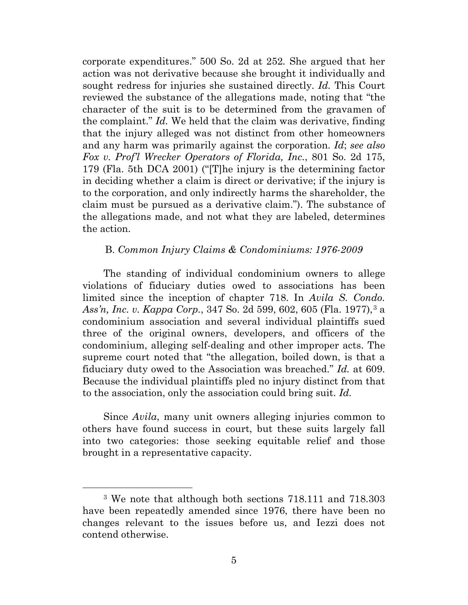corporate expenditures." 500 So. 2d at 252*.* She argued that her action was not derivative because she brought it individually and sought redress for injuries she sustained directly. *Id.* This Court reviewed the substance of the allegations made, noting that "the character of the suit is to be determined from the gravamen of the complaint." *Id.* We held that the claim was derivative, finding that the injury alleged was not distinct from other homeowners and any harm was primarily against the corporation. *Id*; *see also Fox v. Prof'l Wrecker Operators of Florida, Inc.*, 801 So. 2d 175, 179 (Fla. 5th DCA 2001) ("[T]he injury is the determining factor in deciding whether a claim is direct or derivative; if the injury is to the corporation, and only indirectly harms the shareholder, the claim must be pursued as a derivative claim."). The substance of the allegations made, and not what they are labeled, determines the action.

## B. *Common Injury Claims & Condominiums: 1976-2009*

The standing of individual condominium owners to allege violations of fiduciary duties owed to associations has been limited since the inception of chapter 718. In *Avila S. Condo. Ass'n, Inc. v. Kappa Corp.*, [3](#page-4-0)47 So. 2d 599, 602, 605 (Fla. 1977),<sup>3</sup> a condominium association and several individual plaintiffs sued three of the original owners, developers, and officers of the condominium, alleging self-dealing and other improper acts. The supreme court noted that "the allegation, boiled down, is that a fiduciary duty owed to the Association was breached." *Id.* at 609. Because the individual plaintiffs pled no injury distinct from that to the association, only the association could bring suit. *Id.*

Since *Avila*, many unit owners alleging injuries common to others have found success in court, but these suits largely fall into two categories: those seeking equitable relief and those brought in a representative capacity.

<span id="page-4-0"></span> <sup>3</sup> We note that although both sections 718.111 and 718.303 have been repeatedly amended since 1976, there have been no changes relevant to the issues before us, and Iezzi does not contend otherwise.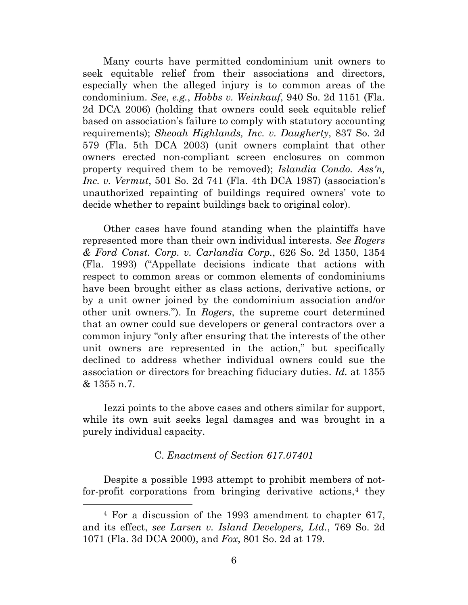Many courts have permitted condominium unit owners to seek equitable relief from their associations and directors, especially when the alleged injury is to common areas of the condominium. *See*, *e.g.*, *Hobbs v. Weinkauf*, 940 So. 2d 1151 (Fla. 2d DCA 2006) (holding that owners could seek equitable relief based on association's failure to comply with statutory accounting requirements); *Sheoah Highlands, Inc. v. Daugherty*, 837 So. 2d 579 (Fla. 5th DCA 2003) (unit owners complaint that other owners erected non-compliant screen enclosures on common property required them to be removed); *Islandia Condo. Ass'n, Inc. v. Vermut*, 501 So. 2d 741 (Fla. 4th DCA 1987) (association's unauthorized repainting of buildings required owners' vote to decide whether to repaint buildings back to original color).

Other cases have found standing when the plaintiffs have represented more than their own individual interests. *See Rogers & Ford Const. Corp. v. Carlandia Corp.*, 626 So. 2d 1350, 1354 (Fla. 1993) ("Appellate decisions indicate that actions with respect to common areas or common elements of condominiums have been brought either as class actions, derivative actions, or by a unit owner joined by the condominium association and/or other unit owners."). In *Rogers*, the supreme court determined that an owner could sue developers or general contractors over a common injury "only after ensuring that the interests of the other unit owners are represented in the action," but specifically declined to address whether individual owners could sue the association or directors for breaching fiduciary duties. *Id.* at 1355 & 1355 n.7.

Iezzi points to the above cases and others similar for support, while its own suit seeks legal damages and was brought in a purely individual capacity.

# C. *Enactment of Section 617.07401*

Despite a possible 1993 attempt to prohibit members of notfor-profit corporations from bringing derivative actions, $4$  they

<span id="page-5-0"></span> <sup>4</sup> For a discussion of the 1993 amendment to chapter 617, and its effect, *see Larsen v. Island Developers, Ltd.*, 769 So. 2d 1071 (Fla. 3d DCA 2000), and *Fox*, 801 So. 2d at 179.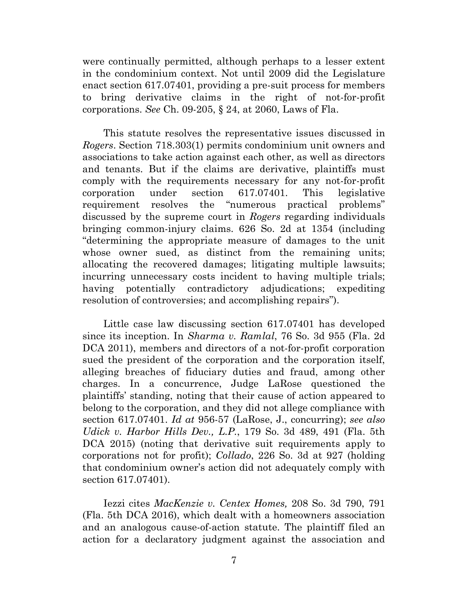were continually permitted, although perhaps to a lesser extent in the condominium context. Not until 2009 did the Legislature enact section 617.07401, providing a pre-suit process for members to bring derivative claims in the right of not-for-profit corporations. *See* Ch. 09-205, § 24, at 2060, Laws of Fla.

This statute resolves the representative issues discussed in *Rogers*. Section 718.303(1) permits condominium unit owners and associations to take action against each other, as well as directors and tenants. But if the claims are derivative, plaintiffs must comply with the requirements necessary for any not-for-profit corporation under section 617.07401. This legislative requirement resolves the "numerous practical problems" discussed by the supreme court in *Rogers* regarding individuals bringing common-injury claims. 626 So. 2d at 1354 (including "determining the appropriate measure of damages to the unit whose owner sued, as distinct from the remaining units; allocating the recovered damages; litigating multiple lawsuits; incurring unnecessary costs incident to having multiple trials; having potentially contradictory adjudications; expediting resolution of controversies; and accomplishing repairs").

Little case law discussing section 617.07401 has developed since its inception. In *Sharma v. Ramlal*, 76 So. 3d 955 (Fla. 2d DCA 2011), members and directors of a not-for-profit corporation sued the president of the corporation and the corporation itself, alleging breaches of fiduciary duties and fraud, among other charges. In a concurrence, Judge LaRose questioned the plaintiffs' standing, noting that their cause of action appeared to belong to the corporation, and they did not allege compliance with section 617.07401. *Id at* 956-57 (LaRose, J., concurring); *see also Udick v. Harbor Hills Dev., L.P.*, 179 So. 3d 489, 491 (Fla. 5th DCA 2015) (noting that derivative suit requirements apply to corporations not for profit); *Collado*, 226 So. 3d at 927 (holding that condominium owner's action did not adequately comply with section 617.07401).

Iezzi cites *MacKenzie v. Centex Homes,* 208 So. 3d 790, 791 (Fla. 5th DCA 2016), which dealt with a homeowners association and an analogous cause-of-action statute. The plaintiff filed an action for a declaratory judgment against the association and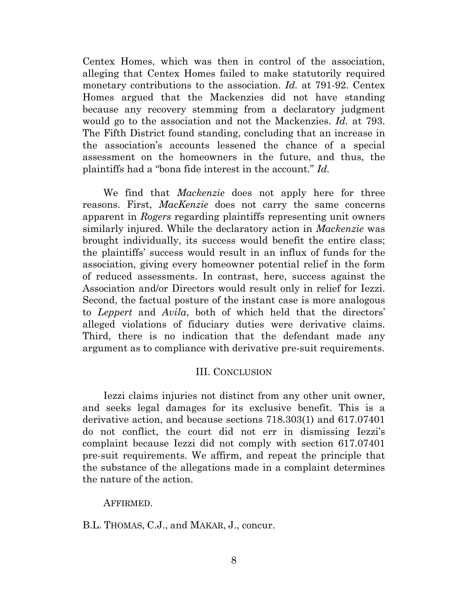Centex Homes, which was then in control of the association, alleging that Centex Homes failed to make statutorily required monetary contributions to the association. *Id.* at 791-92. Centex Homes argued that the Mackenzies did not have standing because any recovery stemming from a declaratory judgment would go to the association and not the Mackenzies. *Id.* at 793. The Fifth District found standing, concluding that an increase in the association's accounts lessened the chance of a special assessment on the homeowners in the future, and thus, the plaintiffs had a "bona fide interest in the account." *Id.*

We find that *Mackenzie* does not apply here for three reasons. First, *MacKenzie* does not carry the same concerns apparent in *Rogers* regarding plaintiffs representing unit owners similarly injured. While the declaratory action in *Mackenzie* was brought individually, its success would benefit the entire class; the plaintiffs' success would result in an influx of funds for the association, giving every homeowner potential relief in the form of reduced assessments. In contrast, here, success against the Association and/or Directors would result only in relief for Iezzi. Second, the factual posture of the instant case is more analogous to *Leppert* and *Avila*, both of which held that the directors' alleged violations of fiduciary duties were derivative claims. Third, there is no indication that the defendant made any argument as to compliance with derivative pre-suit requirements.

### III. CONCLUSION

Iezzi claims injuries not distinct from any other unit owner, and seeks legal damages for its exclusive benefit. This is a derivative action, and because sections 718.303(1) and 617.07401 do not conflict, the court did not err in dismissing Iezzi's complaint because Iezzi did not comply with section 617.07401 pre-suit requirements. We affirm, and repeat the principle that the substance of the allegations made in a complaint determines the nature of the action.

### AFFIRMED.

B.L. THOMAS, C.J., and MAKAR, J., concur.